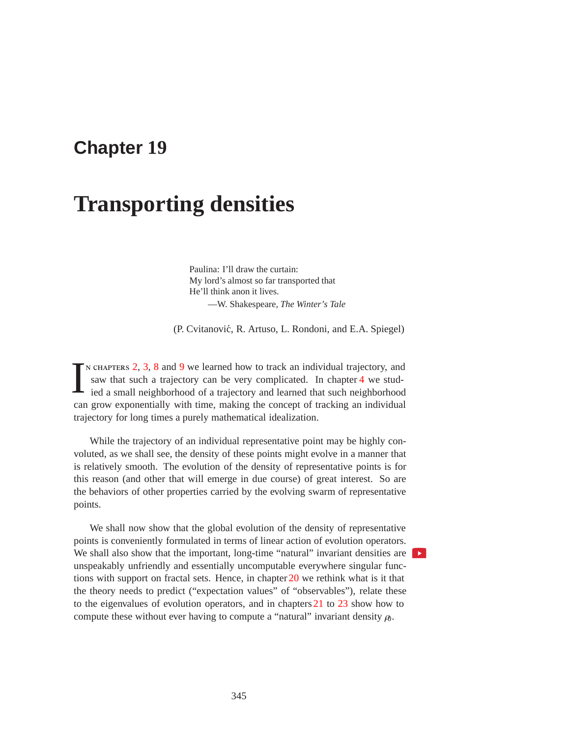## **Chapter 19**

# **Transporting densities**

Paulina: I'll draw the curtain: My lord's almost so far transported that He'll think anon it lives. —W. Shakespeare, *The Winter's Tale*

(P. Cvitanović, R. Artuso, L. Rondoni, and E.A. Spiegel)

I n chapters 2, 3, 8 and 9 we learned how to track an individual trajectory, and saw that such a trajectory can be very complicated. In chapter 4 we studied a small neighborhood of a trajectory and learned that such neighborhood can grow exponentially with time, making the concept of tracking an individual trajectory for long times a purely mathematical idealization.

While the trajectory of an individual representative point may be highly convoluted, as we shall see, the density of these points might evolve in a manner that is relatively smooth. The evolution of the density of representative points is for this reason (and other that will emerge in due course) of great interest. So are the behaviors of other properties carried by the evolving swarm of representative points.

We shall now show that the global evolution of the density of representative points is conveniently formulated in terms of linear action of evolution operators. We shall also show that the important, long-time "natural" invariant densities are unspeakably unfriendly and essentially uncomputable everywhere singular functions with support on fractal sets. Hence, in chapter 20 we rethink what is it that the theory needs to predict ("expectation values" of "observables"), relate these to the eigenvalues of evolution operators, and in chapters 21 to 23 show how to compute these without ever having to compute a "natural" invariant density  $\rho_0$ .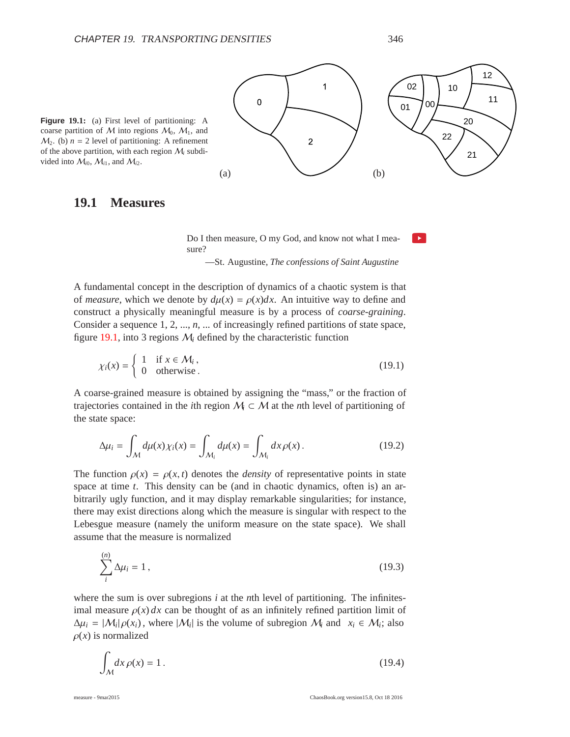l. ≽.



 $M_2$ . (b)  $n = 2$  level of partitioning: A refinement of the above partition, with each region  $M_i$  subdivided into  $M_{i0}$ ,  $M_{i1}$ , and  $M_{i2}$ .

### **19.1 Measures**

Do I then measure, O my God, and know not what I measure?

—St. Augustine, *The confessions of Saint Augustine*

A fundamental concept in the description of dynamics of a chaotic system is that of *measure*, which we denote by  $d\mu(x) = \rho(x)dx$ . An intuitive way to define and construct a physically meaningful measure is by a process of *coarse-graining*. Consider a sequence 1, 2, ..., *n*, ... of increasingly refined partitions of state space, figure  $19.1$ , into 3 regions  $M_i$  defined by the characteristic function

$$
\chi_i(x) = \begin{cases} 1 & \text{if } x \in \mathcal{M}_i, \\ 0 & \text{otherwise.} \end{cases}
$$
 (19.1)

A coarse-grained measure is obtained by assigning the "mass," or the fraction of trajectories contained in the *i*th region  $M \subset M$  at the *n*th level of partitioning of the state space:

$$
\Delta \mu_i = \int_{\mathcal{M}} d\mu(x) \chi_i(x) = \int_{\mathcal{M}_i} d\mu(x) = \int_{\mathcal{M}_i} dx \rho(x).
$$
 (19.2)

The function  $\rho(x) = \rho(x, t)$  denotes the *density* of representative points in state space at time *t*. This density can be (and in chaotic dynamics, often is) an arbitrarily ugly function, and it may display remarkable singularities; for instance, there may exist directions along which the measure is singular with respect to the Lebesgue measure (namely the uniform measure on the state space). We shall assume that the measure is normalized

$$
\sum_{i}^{(n)} \Delta \mu_i = 1, \qquad (19.3)
$$

where the sum is over subregions *i* at the *n*th level of partitioning. The infinitesimal measure  $\rho(x) dx$  can be thought of as an infinitely refined partition limit of  $\Delta \mu_i = |\mathcal{M}_i| \rho(x_i)$ , where  $|\mathcal{M}_i|$  is the volume of subregion  $\mathcal{M}_i$  and  $x_i \in \mathcal{M}_i$ ; also  $\rho(x)$  is normalized

$$
\int_{M} dx \,\rho(x) = 1. \tag{19.4}
$$

(*n*)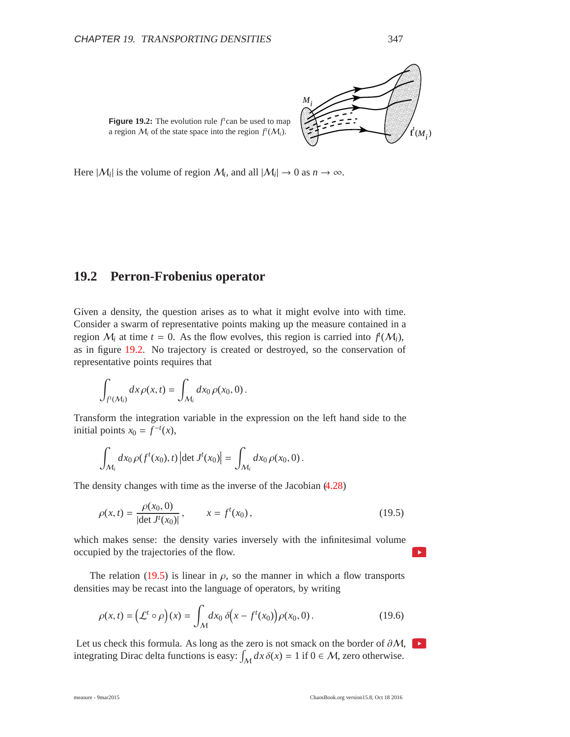LI  $\heartsuit$ 

-----

-

--

 $\sim$ 

-

--

--

**Figure 19.2:** The evolution rule  $f^t$  can be used to map a region  $M_i$  of the state space into the region  $f^t(M_i)$ .

Here  $|M_i|$  is the volume of region  $M_i$ , and all  $|M_i| \to 0$  as  $n \to \infty$ .

## **19.2 Perron-Frobenius operator**

Given a density, the question arises as to what it might evolve into with time. Consider a swarm of representative points making up the measure contained in a region  $M_i$  at time  $t = 0$ . As the flow evolves, this region is carried into  $f(M_i)$ , as in figure 19.2. No trajectory is created or destroyed, so the conservation of representative points requires that

$$
\int_{f^t(\mathcal{M}_i)} dx \rho(x,t) = \int_{\mathcal{M}_i} dx_0 \rho(x_0,0).
$$

Transform the integration variable in the expression on the left hand side to the initial points  $x_0 = f^{-t}(x)$ ,

$$
\int_{\mathcal{M}_i} dx_0 \, \rho(f^t(x_0), t) \left| \det J^t(x_0) \right| = \int_{\mathcal{M}_i} dx_0 \, \rho(x_0, 0) \, .
$$

The density changes with time as the inverse of the Jacobian (4.28)

$$
\rho(x,t) = \frac{\rho(x_0,0)}{|\det J^t(x_0)|}, \qquad x = f^t(x_0), \tag{19.5}
$$

which makes sense: the density varies inversely with the infinitesimal volume occupied by the trajectories of the flow.

The relation (19.5) is linear in  $\rho$ , so the manner in which a flow transports densities may be recast into the language of operators, by writing

$$
\rho(x,t) = \left(\mathcal{L}^t \circ \rho\right)(x) = \int_{\mathcal{M}} dx_0 \, \delta\!\left(x - f^t(x_0)\right) \rho(x_0, 0) \,. \tag{19.6}
$$

Let us check this formula. As long as the zero is not smack on the border of  $\partial M$ , integrating Dirac delta functions is easy:  $\int_M dx \, \delta(x) = 1$  if  $0 \in M$ , zero otherwise.

 $\blacktriangleright$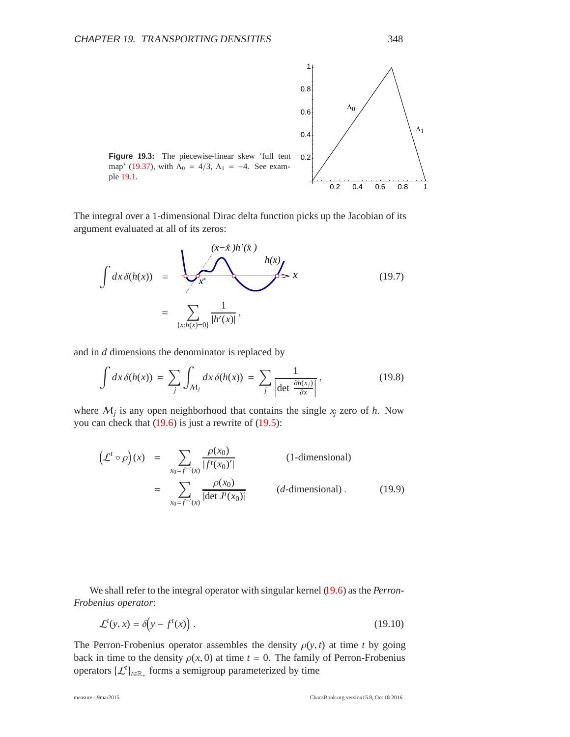

The integral over a 1-dimensional Dirac delta function picks up the Jacobian of its argument evaluated at all of its zeros:

$$
\int dx \, \delta(h(x)) = \frac{\left| \int \frac{(x-\hat{x})h'(\hat{x})}{h(x)} \right|}{\left| \int \frac{h(x)}{(x-h(x)-0)} \right| h'(x)} \geq x \tag{19.7}
$$

and in *d* dimensions the denominator is replaced by

$$
\int dx \,\delta(h(x)) = \sum_{j} \int_{\mathcal{M}_{j}} dx \,\delta(h(x)) = \sum_{j} \frac{1}{\left|\det \frac{\partial h(x_{j})}{\partial x}\right|},\tag{19.8}
$$

where  $M_j$  is any open neighborhood that contains the single  $x_j$  zero of  $h$ . Now you can check that  $(19.6)$  is just a rewrite of  $(19.5)$ :

$$
\left(\mathcal{L}^t \circ \rho\right)(x) = \sum_{x_0 = f^{-t}(x)} \frac{\rho(x_0)}{|f^t(x_0)^\prime|}
$$
 (1-dimensional)  

$$
= \sum_{x_0 = f^{-t}(x)} \frac{\rho(x_0)}{|\det J^t(x_0)|}
$$
 (d-dimensional). (19.9)

We shall refer to the integral operator with singular kernel (19.6) as the *Perron-Frobenius operator*:

$$
\mathcal{L}^t(y, x) = \delta\!\left(y - f^t(x)\right). \tag{19.10}
$$

The Perron-Frobenius operator assembles the density  $\rho(y, t)$  at time *t* by going back in time to the density  $\rho(x, 0)$  at time  $t = 0$ . The family of Perron-Frobenius operators  $\{\mathcal{L}^t\}_{t\in\mathbb{R}_+}$  forms a semigroup parameterized by time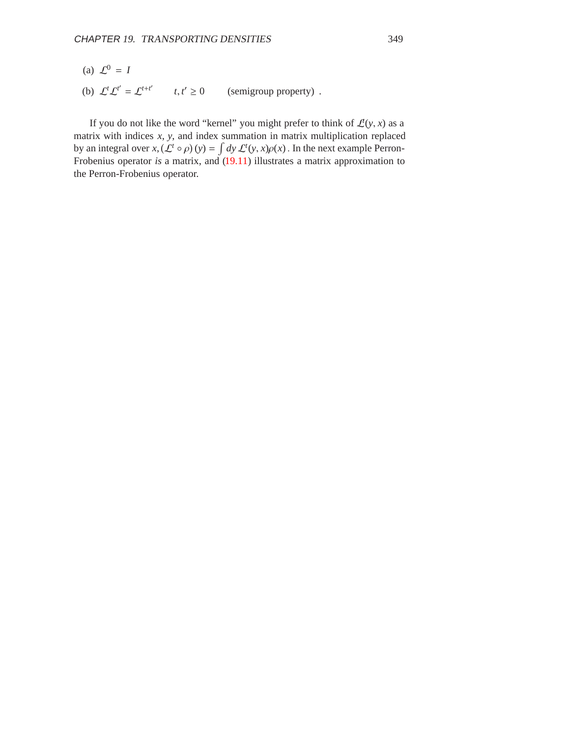- (a)  $\mathcal{L}^0 = I$
- (b)  $\mathcal{L}^t \mathcal{L}^{t'} = \mathcal{L}^{t+t'}$   $t, t'$ (semigroup property).

If you do not like the word "kernel" you might prefer to think of  $\mathcal{L}(y, x)$  as a matrix with indices *x*, *y*, and index summation in matrix multiplication replaced by an integral over  $x$ ,  $(L^t \circ \rho)(y) = \int dy L^t(y, x)\rho(x)$ . In the next example Perron-Frobenius operator *is* a matrix, and (19.11) illustrates a matrix approximation to the Perron-Frobenius operator.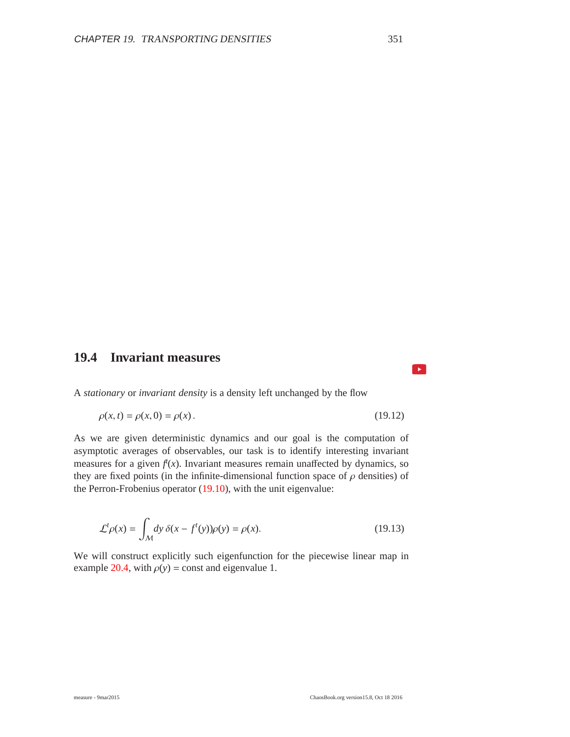## **19.4 Invariant measures**

A *stationary* or *invariant density* is a density left unchanged by the flow

$$
\rho(x,t) = \rho(x,0) = \rho(x). \tag{19.12}
$$

As we are given deterministic dynamics and our goal is the computation of asymptotic averages of observables, our task is to identify interesting invariant measures for a given  $f(x)$ . Invariant measures remain unaffected by dynamics, so they are fixed points (in the infinite-dimensional function space of  $\rho$  densities) of the Perron-Frobenius operator (19.10), with the unit eigenvalue:

$$
\mathcal{L}^t \rho(x) = \int_{\mathcal{M}} dy \, \delta(x - f^t(y)) \rho(y) = \rho(x). \tag{19.13}
$$

We will construct explicitly such eigenfunction for the piecewise linear map in example 20.4, with  $\rho(y)$  = const and eigenvalue 1.

 $\mathbf{E}$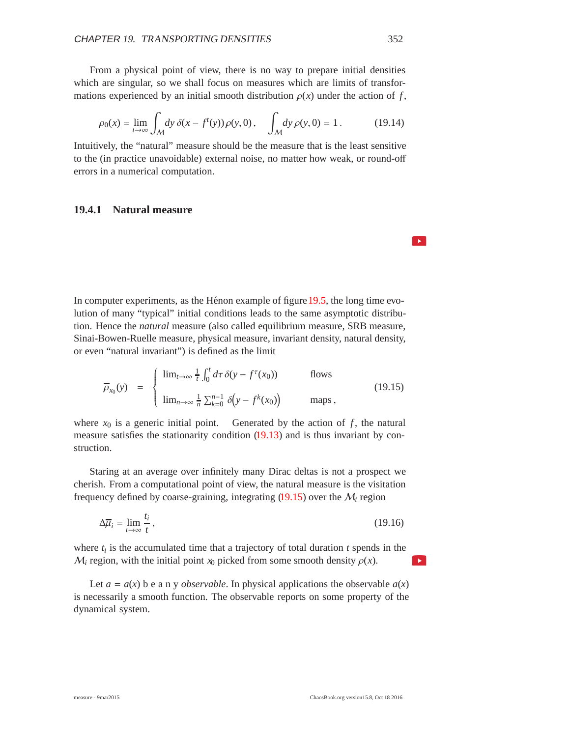From a physical point of view, there is no way to prepare initial densities which are singular, so we shall focus on measures which are limits of transformations experienced by an initial smooth distribution  $\rho(x)$  under the action of *f*,

$$
\rho_0(x) = \lim_{t \to \infty} \int_{\mathcal{M}} dy \, \delta(x - f'(y)) \, \rho(y, 0), \quad \int_{\mathcal{M}} dy \, \rho(y, 0) = 1 \,. \tag{19.14}
$$

Intuitively, the "natural" measure should be the measure that is the least sensitive to the (in practice unavoidable) external noise, no matter how weak, or round-off errors in a numerical computation.

#### **19.4.1 Natural measure**

In computer experiments, as the Hénon example of figure 19.5, the long time evolution of many "typical" initial conditions leads to the same asymptotic distribution. Hence the *natural* measure (also called equilibrium measure, SRB measure, Sinai-Bowen-Ruelle measure, physical measure, invariant density, natural density, or even "natural invariant") is defined as the limit

$$
\overline{\rho}_{x_0}(y) = \begin{cases}\n\lim_{t \to \infty} \frac{1}{t} \int_0^t d\tau \, \delta(y - f^\tau(x_0)) & \text{flows} \\
\lim_{n \to \infty} \frac{1}{n} \sum_{k=0}^{n-1} \delta(y - f^k(x_0)) & \text{maps}\n\end{cases}
$$
\n(19.15)

where  $x_0$  is a generic initial point. Generated by the action of  $f$ , the natural measure satisfies the stationarity condition (19.13) and is thus invariant by construction.

Staring at an average over infinitely many Dirac deltas is not a prospect we cherish. From a computational point of view, the natural measure is the visitation frequency defined by coarse-graining, integrating (19.15) over the M*<sup>i</sup>* region

$$
\Delta \overline{\mu}_i = \lim_{t \to \infty} \frac{t_i}{t},\tag{19.16}
$$

where  $t_i$  is the accumulated time that a trajectory of total duration  $t$  spends in the  $M_i$  region, with the initial point  $x_0$  picked from some smooth density  $\rho(x)$ .

Let  $a = a(x)$  b e a n y *observable*. In physical applications the observable  $a(x)$ is necessarily a smooth function. The observable reports on some property of the dynamical system.

 $\blacktriangleright$ 

 $\blacktriangleright$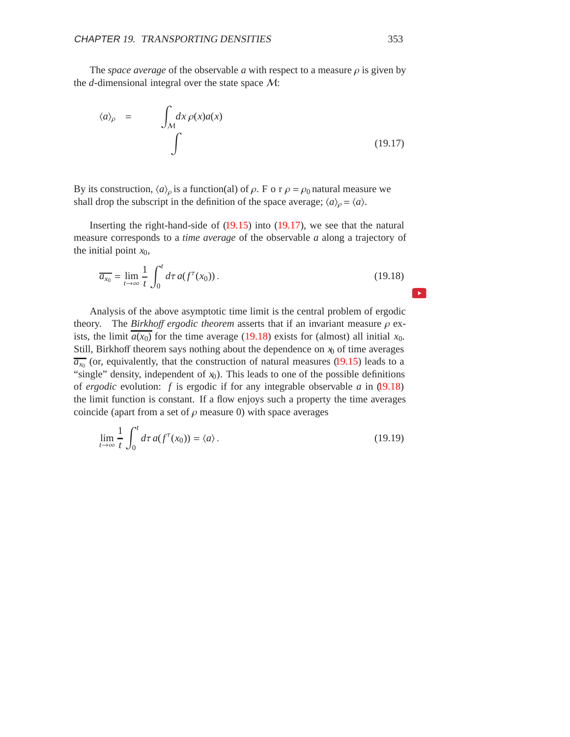The *space average* of the observable *a* with respect to a measure  $\rho$  is given by the *d*-dimensional integral over the state space M:

$$
\langle a \rangle_{\rho} = \int_{\mathcal{M}} dx \, \rho(x) a(x) \tag{19.17}
$$

By its construction,  $\langle a \rangle_\rho$  is a function(al) of  $\rho$ . F o r  $\rho = \rho_0$  natural measure we shall drop the subscript in the definition of the space average;  $\langle a \rangle_{\rho} = \langle a \rangle$ .

Inserting the right-hand-side of (19.15) into (19.17), we see that the natural measure corresponds to a *time average* of the observable *a* along a trajectory of the initial point  $x_0$ ,

$$
\overline{a_{x_0}} = \lim_{t \to \infty} \frac{1}{t} \int_0^t d\tau \, a(f^\tau(x_0)) \,. \tag{19.18}
$$

Analysis of the above asymptotic time limit is the central problem of ergodic theory. The *Birkho*ff *ergodic theorem* asserts that if an invariant measure ρ exists, the limit  $a(x_0)$  for the time average (19.18) exists for (almost) all initial  $x_0$ . Still, Birkhoff theorem says nothing about the dependence on  $x<sub>0</sub>$  of time averages  $\overline{a_{x_0}}$  (or, equivalently, that the construction of natural measures (19.15) leads to a "single" density, independent of  $x_0$ ). This leads to one of the possible definitions of *ergodic* evolution: *f* is ergodic if for any integrable observable *a* in (19.18) the limit function is constant. If a flow enjoys such a property the time averages coincide (apart from a set of  $\rho$  measure 0) with space averages

$$
\lim_{t \to \infty} \frac{1}{t} \int_0^t d\tau \, a(f^\tau(x_0)) = \langle a \rangle. \tag{19.19}
$$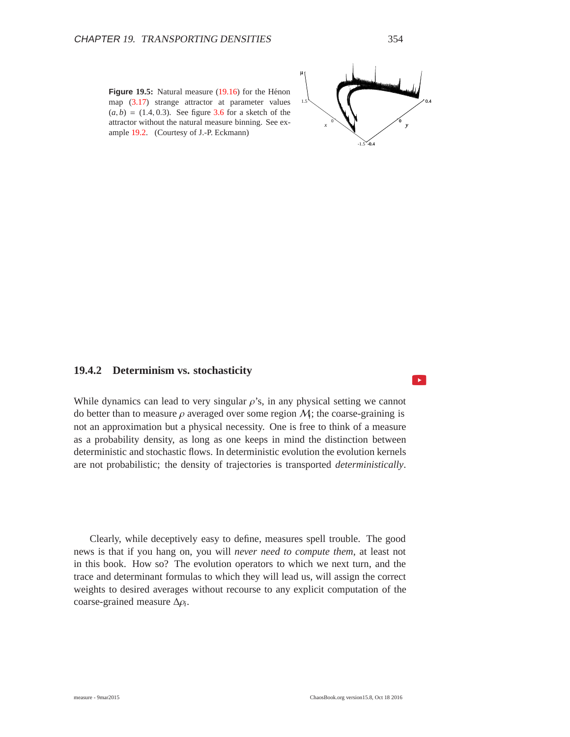

#### **19.4.2 Determinism vs. stochasticity**

While dynamics can lead to very singular  $\rho$ 's, in any physical setting we cannot do better than to measure  $\rho$  averaged over some region  $M$ ; the coarse-graining is not an approximation but a physical necessity. One is free to think of a measure as a probability density, as long as one keeps in mind the distinction between deterministic and stochastic flows. In deterministic evolution the evolution kernels are not probabilistic; the density of trajectories is transported *deterministically*.

Clearly, while deceptively easy to define, measures spell trouble. The good news is that if you hang on, you will *never need to compute them*, at least not in this book. How so? The evolution operators to which we next turn, and the trace and determinant formulas to which they will lead us, will assign the correct weights to desired averages without recourse to any explicit computation of the coarse-grained measure Δρ*i*.

 $\rightarrow$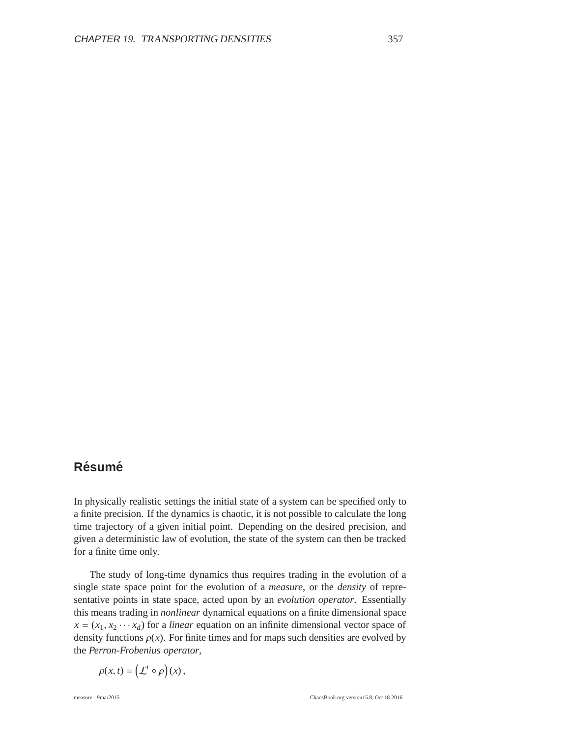## $R$ ésumé

In physically realistic settings the initial state of a system can be specified only to a finite precision. If the dynamics is chaotic, it is not possible to calculate the long time trajectory of a given initial point. Depending on the desired precision, and given a deterministic law of evolution, the state of the system can then be tracked for a finite time only.

The study of long-time dynamics thus requires trading in the evolution of a single state space point for the evolution of a *measure*, or the *density* of representative points in state space, acted upon by an *evolution operator*. Essentially this means trading in *nonlinear* dynamical equations on a finite dimensional space  $x = (x_1, x_2 \cdots x_d)$  for a *linear* equation on an infinite dimensional vector space of density functions  $\rho(x)$ . For finite times and for maps such densities are evolved by the *Perron-Frobenius operator*,

$$
\rho(x,t) = \left(\mathcal{L}^t \circ \rho\right)(x)\,,
$$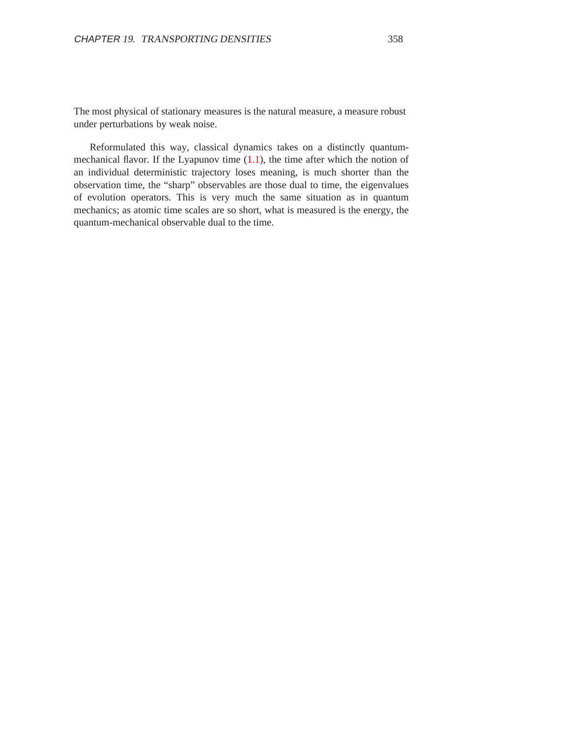The most physical of stationary measures is the natural measure, a measure robust under perturbations by weak noise.

Reformulated this way, classical dynamics takes on a distinctly quantummechanical flavor. If the Lyapunov time  $(1.1)$ , the time after which the notion of an individual deterministic trajectory loses meaning, is much shorter than the observation time, the "sharp" observables are those dual to time, the eigenvalues of evolution operators. This is very much the same situation as in quantum mechanics; as atomic time scales are so short, what is measured is the energy, the quantum-mechanical observable dual to the time.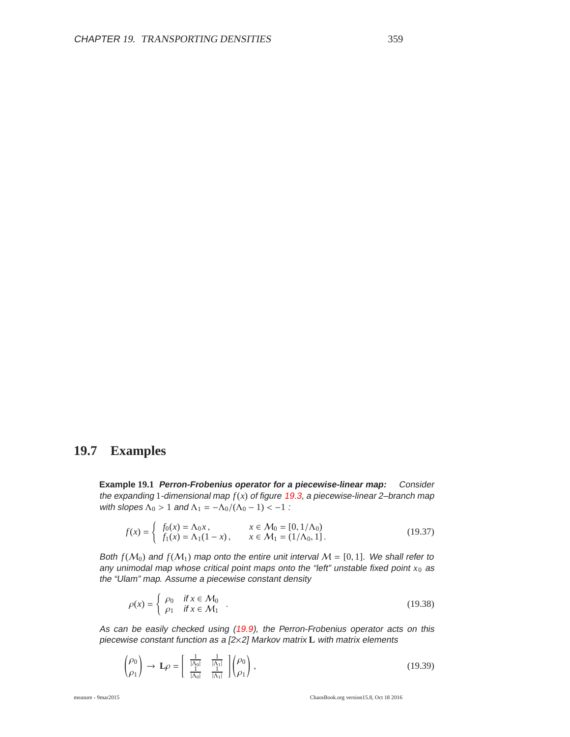## **19.7 Examples**

**Example 19.1 Perron-Frobenius operator for <sup>a</sup> piecewise-linear map:** Consider the expanding 1-dimensional map  $f(x)$  of figure 19.3, a piecewise-linear 2-branch map with slopes  $\Lambda_0 > 1$  and  $\Lambda_1 = -\Lambda_0/(\Lambda_0 - 1) < -1$ :

$$
f(x) = \begin{cases} f_0(x) = \Lambda_0 x, & x \in \mathcal{M}_0 = [0, 1/\Lambda_0) \\ f_1(x) = \Lambda_1 (1 - x), & x \in \mathcal{M}_1 = (1/\Lambda_0, 1]. \end{cases}
$$
(19.37)

Both  $f(M_0)$  and  $f(M_1)$  map onto the entire unit interval  $M = [0, 1]$ . We shall refer to any unimodal map whose critical point maps onto the "left" unstable fixed point  $x_0$  as the "Ulam" map. Assume <sup>a</sup> piecewise constant density

$$
\rho(x) = \begin{cases}\n\rho_0 & \text{if } x \in \mathcal{M}_0 \\
\rho_1 & \text{if } x \in \mathcal{M}_1\n\end{cases} \tag{19.38}
$$

As can be easily checked using (19.9), the Perron-Frobenius operator acts on this piecewise constant function as <sup>a</sup> [2×2] Markov matrix **L** with matrix elements

$$
\begin{pmatrix} \rho_0 \\ \rho_1 \end{pmatrix} \to \mathbf{L}\rho = \begin{bmatrix} \frac{1}{|\Lambda_0|} & \frac{1}{|\Lambda_1|} \\ \frac{1}{|\Lambda_0|} & \frac{1}{|\Lambda_1|} \end{bmatrix} \begin{pmatrix} \rho_0 \\ \rho_1 \end{pmatrix},
$$
\n(19.39)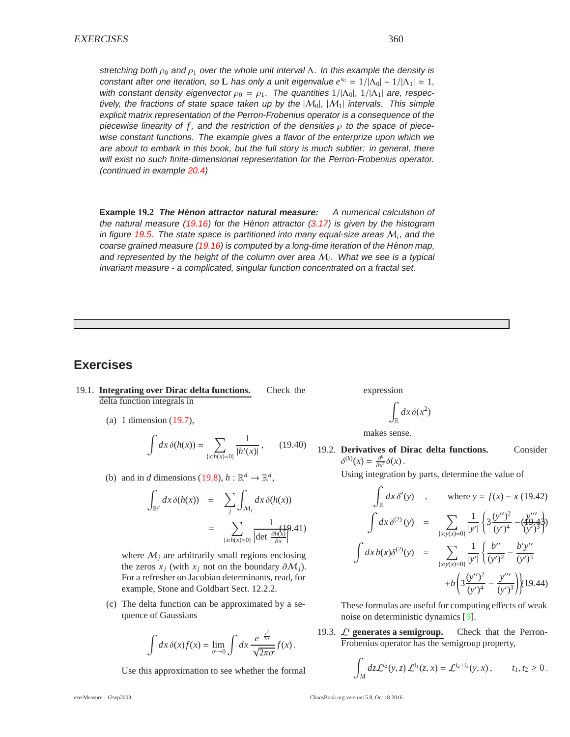stretching both  $\rho_0$  and  $\rho_1$  over the whole unit interval  $\Lambda$ . In this example the density is constant after one iteration, so **L** has only a unit eigenvalue  $e^{s_0} = 1/|\Lambda_0| + 1/|\Lambda_1| = 1$ , with constant density eigenvector  $\rho_0 = \rho_1$ . The quantities  $1/|\Lambda_0|$ ,  $1/|\Lambda_1|$  are, respectively, the fractions of state space taken up by the  $|M_0|, |M_1|$  intervals. This simple explicit matrix representation of the Perron-Frobenius operator is <sup>a</sup> consequence of the piecewise linearity of f, and the restriction of the densities  $\rho$  to the space of piecewise constant functions. The example gives <sup>a</sup> flavor of the enterprize upon which we are about to embark in this book, but the full story is much subtler: in general, there will exist no such finite-dimensional representation for the Perron-Frobenius operator. (continued in example 20.4)

**Example 19.2 The Henon attractor natural measure: ´** <sup>A</sup> numerical calculation of the natural measure  $(19.16)$  for the Hénon attractor  $(3.17)$  is given by the histogram in figure 19.5. The state space is partitioned into many equal-size areas  $M_i$ , and the coarse grained measure (19.16) is computed by a long-time iteration of the Hénon map, and represented by the height of the column over area M*<sup>i</sup>*. What we see is <sup>a</sup> typical invariant measure - <sup>a</sup> complicated, singular function concentrated on <sup>a</sup> fractal set.

## **Exercises**

- 19.1. **Integrating over Dirac delta functions.** Check the delta function integrals in
	- (a) 1 dimension (19.7),

$$
\int dx \, \delta(h(x)) = \sum_{\{x: h(x) = 0\}} \frac{1}{|h'(x)|},\qquad(19.40)
$$

(b) and in *d* dimensions (19.8),  $h : \mathbb{R}^d \to \mathbb{R}^d$ ,

$$
\int_{\mathbb{R}^d} dx \, \delta(h(x)) = \sum_j \int_{\mathcal{M}_j} dx \, \delta(h(x))
$$
\n
$$
= \sum_{\{x: h(x) = 0\}} \frac{1}{|\det \frac{\partial h(x)}{\partial x}|}.
$$

where  $M_i$  are arbitrarily small regions enclosing the zeros  $x_i$  (with  $x_i$  not on the boundary  $\partial M_i$ ). For a refresher on Jacobian determinants, read, for example, Stone and Goldbart Sect. 12.2.2.

(c) The delta function can be approximated by a sequence of Gaussians

$$
\int dx \, \delta(x) f(x) = \lim_{\sigma \to 0} \int dx \, \frac{e^{-\frac{x^2}{2\sigma}}}{\sqrt{2\pi\sigma}} f(x) \, .
$$

Use this approximation to see whether the formal

expression

$$
\int_{\mathbb{R}} dx \, \delta(x^2)
$$

makes sense.

19.2. **Derivatives of Dirac delta functions.** Consider  $\delta^{(k)}(x) = \frac{\partial^k}{\partial x^k} \delta(x)$ .

Using integration by parts, determine the value of

$$
\int_{\mathbb{R}} dx \, \delta'(y) \quad , \qquad \text{where } y = f(x) - x (19.42)
$$
\n
$$
\int dx \, \delta^{(2)}(y) = \sum_{\{x: y(x) = 0\}} \frac{1}{|y'|} \left\{ 3 \frac{(y'')^2}{(y')^4} - \frac{y'''}{(y')^3} \right\}
$$
\n
$$
\int dx \, b(x) \delta^{(2)}(y) = \sum_{\{x: y(x) = 0\}} \frac{1}{|y'|} \left\{ \frac{b''}{(y')^2} - \frac{b'y''}{(y')^3} \right\}
$$
\n
$$
+ b \left\{ 3 \frac{(y'')^2}{(y')^4} - \frac{y'''}{(y')^3} \right\} (19.44)
$$

These formulas are useful for computing effects of weak noise on deterministic dynamics [9].

19.3. L*<sup>t</sup>* **generates a semigroup.** Check that the Perron-Frobenius operator has the semigroup property,

$$
\int_M dz \mathcal{L}^{t_2}(y, z) \mathcal{L}^{t_1}(z, x) = \mathcal{L}^{t_2 + t_1}(y, x), \qquad t_1, t_2 \ge 0.
$$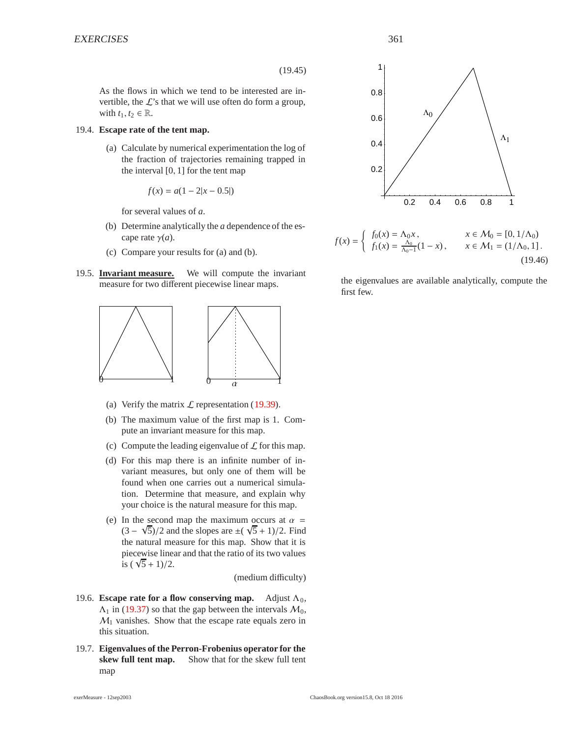(19.45)

As the flows in which we tend to be interested are invertible, the  $\mathcal{L}$ 's that we will use often do form a group, with  $t_1, t_2 \in \mathbb{R}$ .

#### 19.4. **Escape rate of the tent map.**

(a) Calculate by numerical experimentation the log of the fraction of trajectories remaining trapped in the interval  $[0, 1]$  for the tent map

$$
f(x) = a(1 - 2|x - 0.5|)
$$

for several values of *a*.

- (b) Determine analytically the *a* dependence of the escape rate  $\gamma(a)$ .
- (c) Compare your results for (a) and (b).
- 19.5. **Invariant measure.** We will compute the invariant measure for two different piecewise linear maps.



- (a) Verify the matrix  $\mathcal L$  representation (19.39).
- (b) The maximum value of the first map is 1. Compute an invariant measure for this map.
- (c) Compute the leading eigenvalue of  $\mathcal L$  for this map.
- (d) For this map there is an infinite number of invariant measures, but only one of them will be found when one carries out a numerical simulation. Determine that measure, and explain why your choice is the natural measure for this map.
- (e) In the second map the maximum occurs at  $\alpha =$ In the second map the maximum occurs at  $\alpha = (3 - \sqrt{5})/2$  and the slopes are  $\pm(\sqrt{5} + 1)/2$ . Find the natural measure for this map. Show that it is piecewise linear and that the ratio of its two values piecewise lines<br>is  $(\sqrt{5} + 1)/2$ .

(medium difficulty)

- 19.6. **Escape rate for a flow conserving map.** Adjust  $\Lambda_0$ ,  $\Lambda_1$  in (19.37) so that the gap between the intervals  $\mathcal{M}_0$ ,  $M_1$  vanishes. Show that the escape rate equals zero in this situation.
- 19.7. **Eigenvalues of the Perron-Frobenius operator for the skew full tent map.** Show that for the skew full tent map



$$
f(x) = \begin{cases} f_0(x) = \Lambda_0 x, & x \in \mathcal{M}_0 = [0, 1/\Lambda_0) \\ f_1(x) = \frac{\Lambda_0}{\Lambda_0 - 1} (1 - x), & x \in \mathcal{M}_1 = (1/\Lambda_0, 1]. \end{cases}
$$
(19.46)

the eigenvalues are available analytically, compute the first few.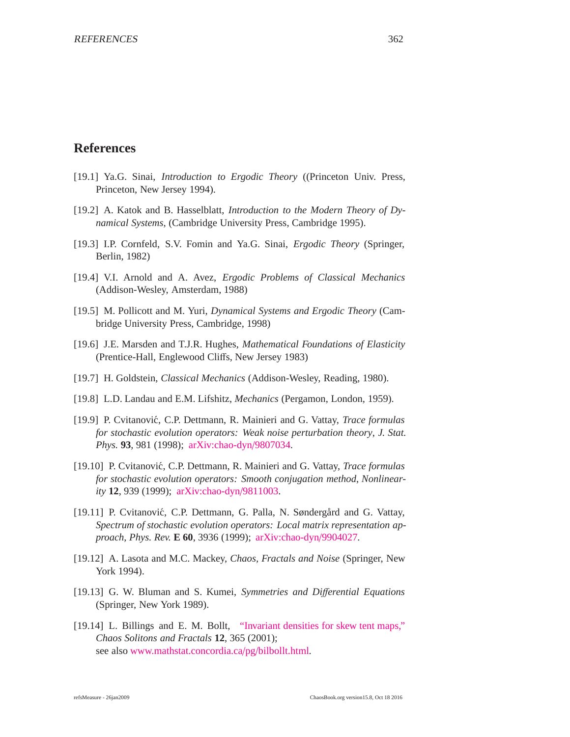## **References**

- [19.1] Ya.G. Sinai, *Introduction to Ergodic Theory* ((Princeton Univ. Press, Princeton, New Jersey 1994).
- [19.2] A. Katok and B. Hasselblatt, *Introduction to the Modern Theory of Dynamical Systems*, (Cambridge University Press, Cambridge 1995).
- [19.3] I.P. Cornfeld, S.V. Fomin and Ya.G. Sinai, *Ergodic Theory* (Springer, Berlin, 1982)
- [19.4] V.I. Arnold and A. Avez, *Ergodic Problems of Classical Mechanics* (Addison-Wesley, Amsterdam, 1988)
- [19.5] M. Pollicott and M. Yuri, *Dynamical Systems and Ergodic Theory* (Cambridge University Press, Cambridge, 1998)
- [19.6] J.E. Marsden and T.J.R. Hughes, *Mathematical Foundations of Elasticity* (Prentice-Hall, Englewood Cliffs, New Jersey 1983)
- [19.7] H. Goldstein, *Classical Mechanics* (Addison-Wesley, Reading, 1980).
- [19.8] L.D. Landau and E.M. Lifshitz, *Mechanics* (Pergamon, London, 1959).
- [19.9] P. Cvitanovi´c, C.P. Dettmann, R. Mainieri and G. Vattay, *Trace formulas for stochastic evolution operators: Weak noise perturbation theory*, *J. Stat. Phys.* **93**, 981 (1998); [arXiv:chao-dyn](http://arXiv.org/abs/chao-dyn/9807034)/9807034.
- [19.10] P. Cvitanovi´c, C.P. Dettmann, R. Mainieri and G. Vattay, *Trace formulas for stochastic evolution operators: Smooth conjugation method*, *Nonlinearity* **12**, 939 (1999); [arXiv:chao-dyn](http://arXiv.org/abs/chao-dyn/9811003)/9811003.
- [19.11] P. Cvitanović, C.P. Dettmann, G. Palla, N. Søndergård and G. Vattay, *Spectrum of stochastic evolution operators: Local matrix representation approach*, *Phys. Rev.* **E 60**, 3936 (1999); [arXiv:chao-dyn](http://arXiv.org/abs/chao-dyn/9904027)/9904027.
- [19.12] A. Lasota and M.C. Mackey, *Chaos, Fractals and Noise* (Springer, New York 1994).
- [19.13] G. W. Bluman and S. Kumei, *Symmetries and Di*ff*erential Equations* (Springer, New York 1989).
- [19.14] L. Billings and E. M. Bollt, ["Invariant densities for skew tent maps,"](http://people.clarkson.edu/~bolltem/Papers/csf_2001.pdf) *Chaos Solitons and Fractals* **12**, 365 (2001); see also [www.mathstat.concordia.ca](http://www.mathstat.concordia.ca/pg/bilbollt.html)/pg/bilbollt.html.